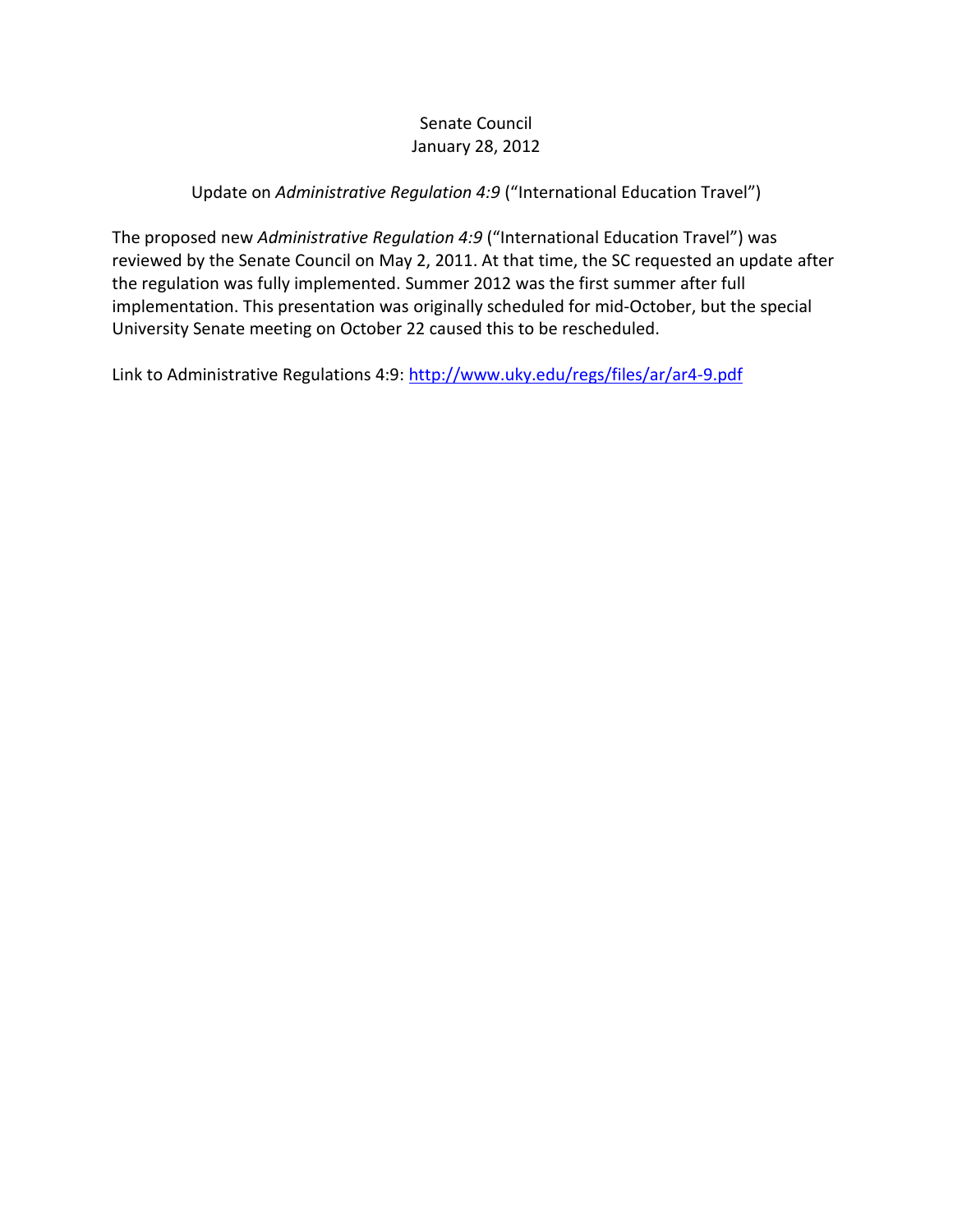#### Senate Council January 28, 2012

#### Update on *Administrative Regulation 4:9* ("International Education Travel")

The proposed new *Administrative Regulation 4:9* ("International Education Travel") was reviewed by the Senate Council on May 2, 2011. At that time, the SC requested an update after the regulation was fully implemented. Summer 2012 was the first summer after full implementation. This presentation was originally scheduled for mid-October, but the special University Senate meeting on October 22 caused this to be rescheduled.

Link to Administrative Regulations 4:9:<http://www.uky.edu/regs/files/ar/ar4-9.pdf>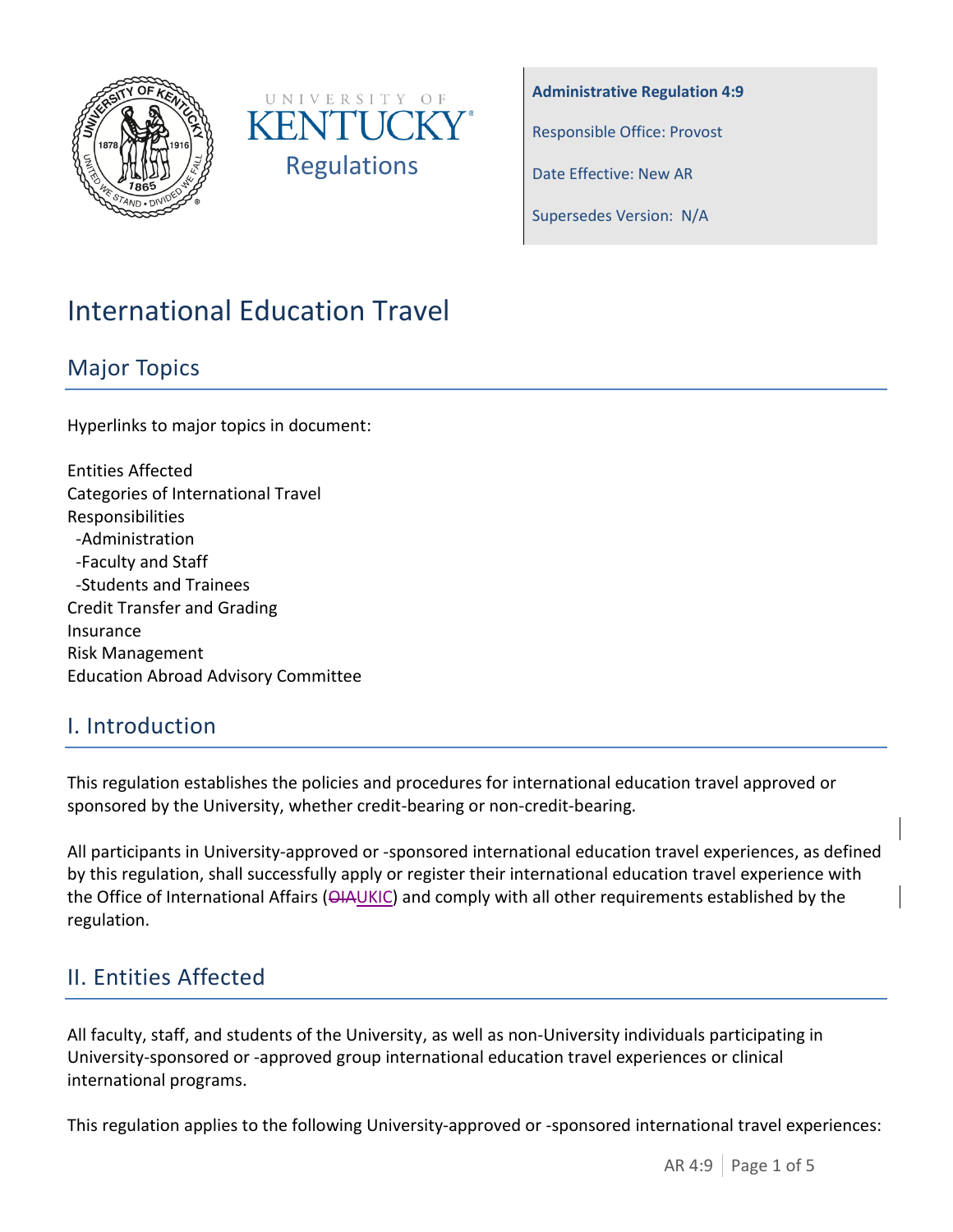



**Administrative Regulation 4:9**

Responsible Office: Provost

Date Effective: New AR

Supersedes Version: N/A

# International Education Travel

## Major Topics

Hyperlinks to major topics in document:

Entities Affected Categories of International Travel Responsibilities -Administration -Faculty and Staff -Students and Trainees Credit Transfer and Grading Insurance Risk Management Education Abroad Advisory Committee

## I. Introduction

This regulation establishes the policies and procedures for international education travel approved or sponsored by the University, whether credit-bearing or non-credit-bearing.

All participants in University-approved or -sponsored international education travel experiences, as defined by this regulation, shall successfully apply or register their international education travel experience with the Office of International Affairs ( $\overline{\Theta A\cup KIC}$ ) and comply with all other requirements established by the regulation.

# II. Entities Affected

All faculty, staff, and students of the University, as well as non-University individuals participating in University-sponsored or -approved group international education travel experiences or clinical international programs.

This regulation applies to the following University-approved or -sponsored international travel experiences: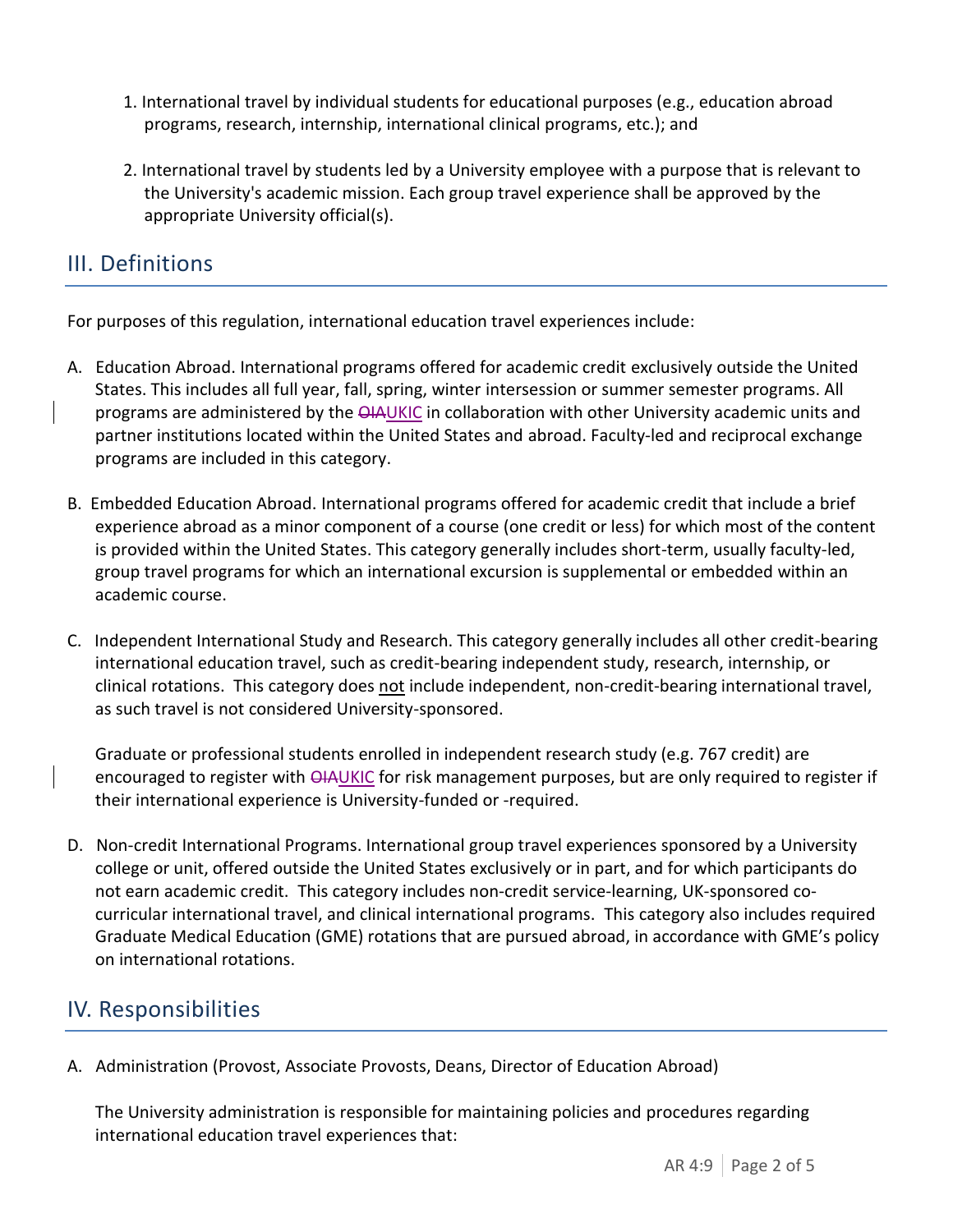- 1. International travel by individual students for educational purposes (e.g., education abroad programs, research, internship, international clinical programs, etc.); and
- 2. International travel by students led by a University employee with a purpose that is relevant to the University's academic mission. Each group travel experience shall be approved by the appropriate University official(s).

# III. Definitions

For purposes of this regulation, international education travel experiences include:

- A. Education Abroad. International programs offered for academic credit exclusively outside the United States. This includes all full year, fall, spring, winter intersession or summer semester programs. All programs are administered by the  $\Theta$ IAUKIC in collaboration with other University academic units and partner institutions located within the United States and abroad. Faculty-led and reciprocal exchange programs are included in this category.
- B. Embedded Education Abroad. International programs offered for academic credit that include a brief experience abroad as a minor component of a course (one credit or less) for which most of the content is provided within the United States. This category generally includes short-term, usually faculty-led, group travel programs for which an international excursion is supplemental or embedded within an academic course.
- C. Independent International Study and Research. This category generally includes all other credit-bearing international education travel, such as credit-bearing independent study, research, internship, or clinical rotations. This category does not include independent, non-credit-bearing international travel, as such travel is not considered University-sponsored.

Graduate or professional students enrolled in independent research study (e.g. 767 credit) are encouraged to register with  $\Theta$ IAUKIC for risk management purposes, but are only required to register if their international experience is University-funded or -required.

D. Non-credit International Programs. International group travel experiences sponsored by a University college or unit, offered outside the United States exclusively or in part, and for which participants do not earn academic credit. This category includes non-credit service-learning, UK-sponsored cocurricular international travel, and clinical international programs. This category also includes required Graduate Medical Education (GME) rotations that are pursued abroad, in accordance with GME's policy on international rotations.

## IV. Responsibilities

A. Administration (Provost, Associate Provosts, Deans, Director of Education Abroad)

The University administration is responsible for maintaining policies and procedures regarding international education travel experiences that: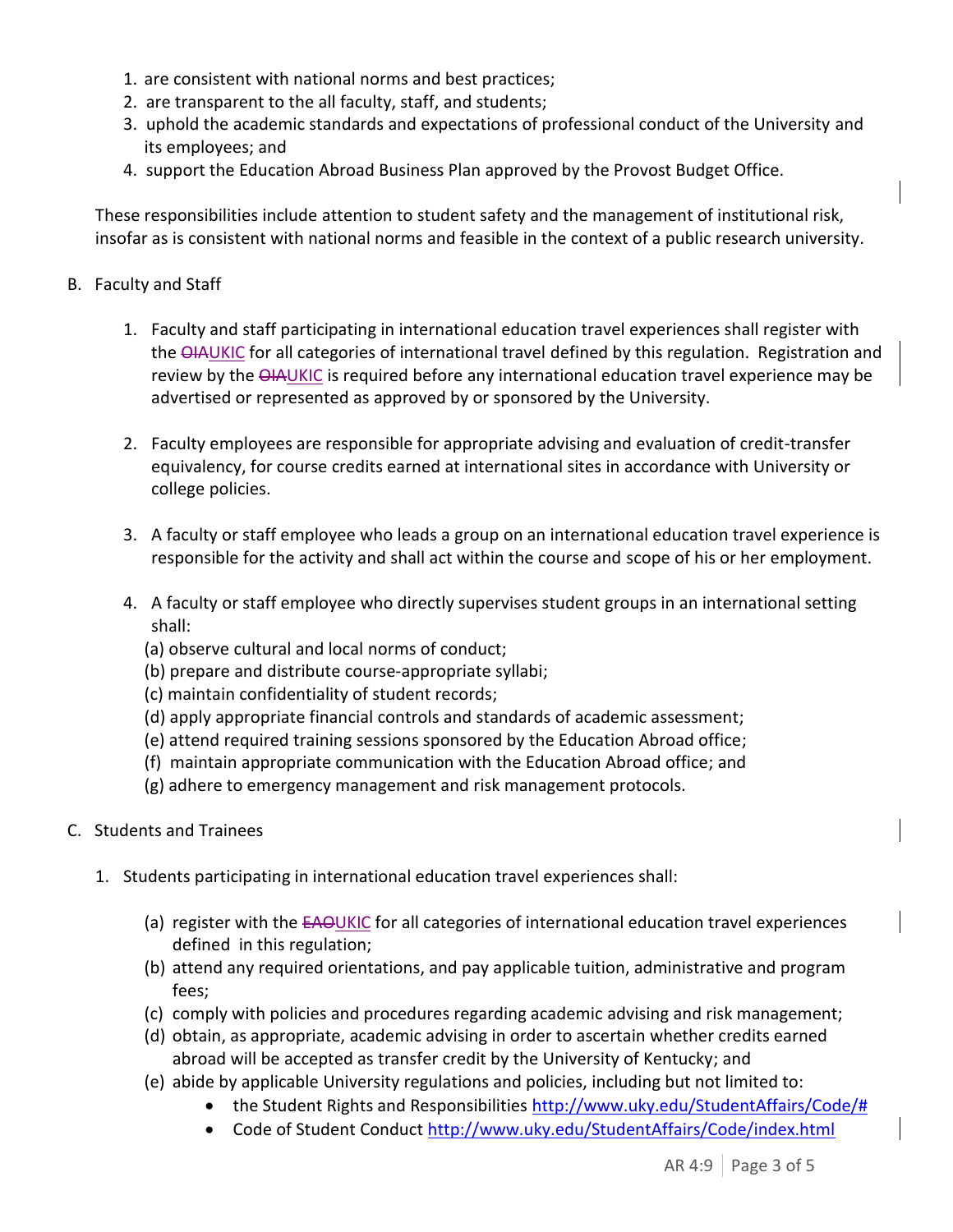- 1. are consistent with national norms and best practices;
- 2. are transparent to the all faculty, staff, and students;
- 3. uphold the academic standards and expectations of professional conduct of the University and its employees; and
- 4. support the Education Abroad Business Plan approved by the Provost Budget Office.

These responsibilities include attention to student safety and the management of institutional risk, insofar as is consistent with national norms and feasible in the context of a public research university.

#### B. Faculty and Staff

- 1. Faculty and staff participating in international education travel experiences shall register with the  $\Theta$ IAUKIC for all categories of international travel defined by this regulation. Registration and review by the **QIAUKIC** is required before any international education travel experience may be advertised or represented as approved by or sponsored by the University.
- 2. Faculty employees are responsible for appropriate advising and evaluation of credit-transfer equivalency, for course credits earned at international sites in accordance with University or college policies.
- 3. A faculty or staff employee who leads a group on an international education travel experience is responsible for the activity and shall act within the course and scope of his or her employment.
- 4. A faculty or staff employee who directly supervises student groups in an international setting shall:
	- (a) observe cultural and local norms of conduct;
	- (b) prepare and distribute course-appropriate syllabi;
	- (c) maintain confidentiality of student records;
	- (d) apply appropriate financial controls and standards of academic assessment;
	- (e) attend required training sessions sponsored by the Education Abroad office;
	- (f) maintain appropriate communication with the Education Abroad office; and
	- (g) adhere to emergency management and risk management protocols.
- C. Students and Trainees
	- 1. Students participating in international education travel experiences shall:
		- (a) register with the EAOUKIC for all categories of international education travel experiences defined in this regulation;
		- (b) attend any required orientations, and pay applicable tuition, administrative and program fees;
		- (c) comply with policies and procedures regarding academic advising and risk management;
		- (d) obtain, as appropriate, academic advising in order to ascertain whether credits earned abroad will be accepted as transfer credit by the University of Kentucky; and
		- (e) abide by applicable University regulations and policies, including but not limited to:
			- the Student Rights and Responsibilities [http://www.uky.edu/StudentAffairs/Code/#](http://www.uky.edu/StudentAffairs/Code/)
			- Code of Student Conduct<http://www.uky.edu/StudentAffairs/Code/index.html>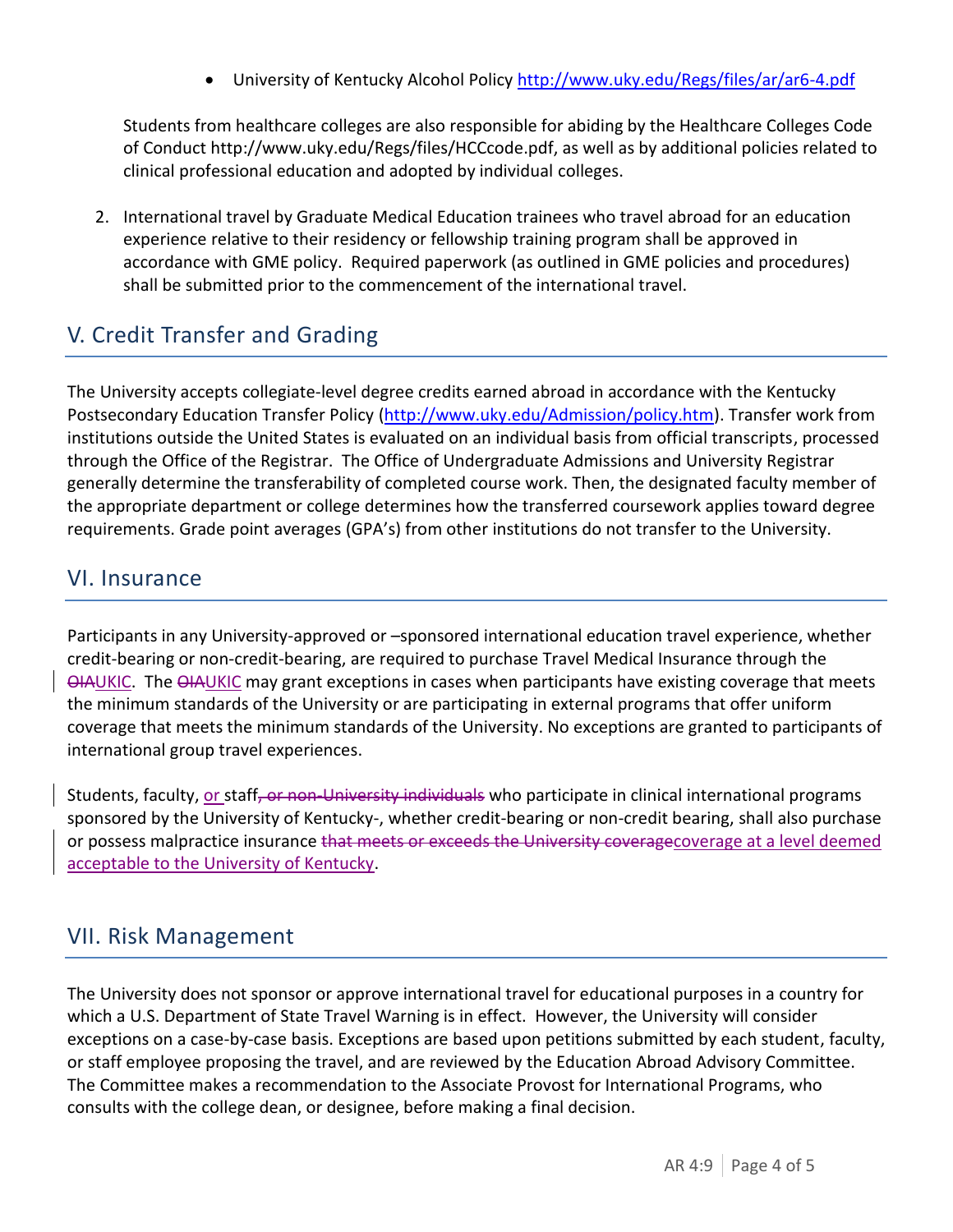University of Kentucky Alcohol Policy <http://www.uky.edu/Regs/files/ar/ar6-4.pdf>

Students from healthcare colleges are also responsible for abiding by the Healthcare Colleges Code of Conduct http://www.uky.edu/Regs/files/HCCcode.pdf, as well as by additional policies related to clinical professional education and adopted by individual colleges.

2. International travel by Graduate Medical Education trainees who travel abroad for an education experience relative to their residency or fellowship training program shall be approved in accordance with GME policy. Required paperwork (as outlined in GME policies and procedures) shall be submitted prior to the commencement of the international travel.

# V. Credit Transfer and Grading

The University accepts collegiate-level degree credits earned abroad in accordance with the Kentucky Postsecondary Education Transfer Policy [\(http://www.uky.edu/Admission/policy.htm\)](http://www.uky.edu/Admission/policy.htm). Transfer work from institutions outside the United States is evaluated on an individual basis from official transcripts, processed through the Office of the Registrar. The Office of Undergraduate Admissions and University Registrar generally determine the transferability of completed course work. Then, the designated faculty member of the appropriate department or college determines how the transferred coursework applies toward degree requirements. Grade point averages (GPA's) from other institutions do not transfer to the University.

#### VI. Insurance

Participants in any University-approved or –sponsored international education travel experience, whether credit-bearing or non-credit-bearing, are required to purchase Travel Medical Insurance through the **OIAUKIC.** The OIAUKIC may grant exceptions in cases when participants have existing coverage that meets the minimum standards of the University or are participating in external programs that offer uniform coverage that meets the minimum standards of the University. No exceptions are granted to participants of international group travel experiences.

Students, faculty, or staff, or non-University individuals who participate in clinical international programs sponsored by the University of Kentucky-, whether credit-bearing or non-credit bearing, shall also purchase or possess malpractice insurance that meets or exceeds the University coveragecoverage at a level deemed acceptable to the University of Kentucky.

## VII. Risk Management

The University does not sponsor or approve international travel for educational purposes in a country for which a U.S. Department of State Travel Warning is in effect. However, the University will consider exceptions on a case-by-case basis. Exceptions are based upon petitions submitted by each student, faculty, or staff employee proposing the travel, and are reviewed by the Education Abroad Advisory Committee. The Committee makes a recommendation to the Associate Provost for International Programs, who consults with the college dean, or designee, before making a final decision.